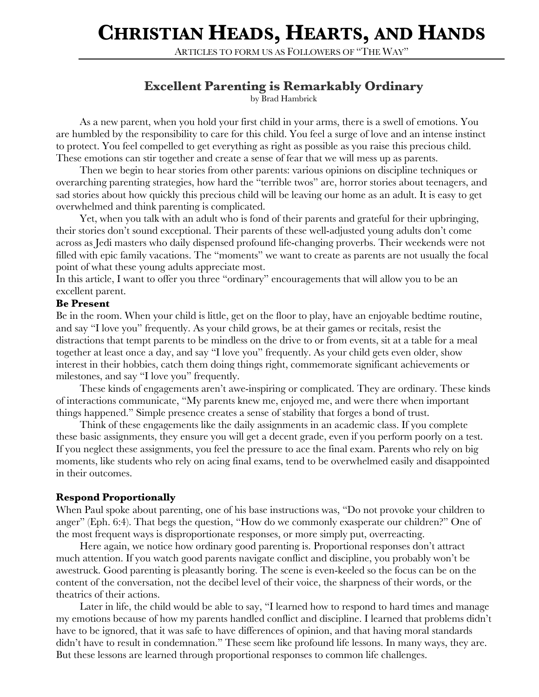# **CHRISTIAN HEADS, HEARTS, AND HANDS**

ARTICLES TO FORM US AS FOLLOWERS OF "THE WAY"

## **Excellent Parenting is Remarkably Ordinary**

by Brad Hambrick

As a new parent, when you hold your first child in your arms, there is a swell of emotions. You are humbled by the responsibility to care for this child. You feel a surge of love and an intense instinct to protect. You feel compelled to get everything as right as possible as you raise this precious child. These emotions can stir together and create a sense of fear that we will mess up as parents.

Then we begin to hear stories from other parents: various opinions on discipline techniques or overarching parenting strategies, how hard the "terrible twos" are, horror stories about teenagers, and sad stories about how quickly this precious child will be leaving our home as an adult. It is easy to get overwhelmed and think parenting is complicated.

Yet, when you talk with an adult who is fond of their parents and grateful for their upbringing, their stories don't sound exceptional. Their parents of these well-adjusted young adults don't come across as Jedi masters who daily dispensed profound life-changing proverbs. Their weekends were not filled with epic family vacations. The "moments" we want to create as parents are not usually the focal point of what these young adults appreciate most.

In this article, I want to offer you three "ordinary" encouragements that will allow you to be an excellent parent.

#### **Be Present**

Be in the room. When your child is little, get on the floor to play, have an enjoyable bedtime routine, and say "I love you" frequently. As your child grows, be at their games or recitals, resist the distractions that tempt parents to be mindless on the drive to or from events, sit at a table for a meal together at least once a day, and say "I love you" frequently. As your child gets even older, show interest in their hobbies, catch them doing things right, commemorate significant achievements or milestones, and say "I love you" frequently.

These kinds of engagements aren't awe-inspiring or complicated. They are ordinary. These kinds of interactions communicate, "My parents knew me, enjoyed me, and were there when important things happened." Simple presence creates a sense of stability that forges a bond of trust.

Think of these engagements like the daily assignments in an academic class. If you complete these basic assignments, they ensure you will get a decent grade, even if you perform poorly on a test. If you neglect these assignments, you feel the pressure to ace the final exam. Parents who rely on big moments, like students who rely on acing final exams, tend to be overwhelmed easily and disappointed in their outcomes.

### **Respond Proportionally**

When Paul spoke about parenting, one of his base instructions was, "Do not provoke your children to anger" (Eph. 6:4). That begs the question, "How do we commonly exasperate our children?" One of the most frequent ways is disproportionate responses, or more simply put, overreacting.

Here again, we notice how ordinary good parenting is. Proportional responses don't attract much attention. If you watch good parents navigate conflict and discipline, you probably won't be awestruck. Good parenting is pleasantly boring. The scene is even-keeled so the focus can be on the content of the conversation, not the decibel level of their voice, the sharpness of their words, or the theatrics of their actions.

Later in life, the child would be able to say, "I learned how to respond to hard times and manage my emotions because of how my parents handled conflict and discipline. I learned that problems didn't have to be ignored, that it was safe to have differences of opinion, and that having moral standards didn't have to result in condemnation." These seem like profound life lessons. In many ways, they are. But these lessons are learned through proportional responses to common life challenges.